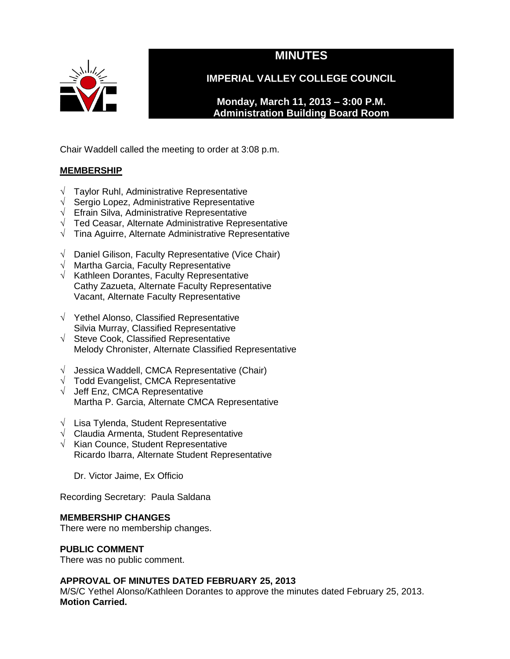

# **MINUTES**

**IMPERIAL VALLEY COLLEGE COUNCIL**

**Monday, March 11, 2013 – 3:00 P.M. Administration Building Board Room** 

Chair Waddell called the meeting to order at 3:08 p.m.

# **MEMBERSHIP**

- √ Taylor Ruhl, Administrative Representative
- √ Sergio Lopez, Administrative Representative
- $\sqrt{\phantom{a}}$  Efrain Silva, Administrative Representative
- √ Ted Ceasar, Alternate Administrative Representative
- √ Tina Aguirre, Alternate Administrative Representative
- √ Daniel Gilison, Faculty Representative (Vice Chair)
- $\sqrt{ }$  Martha Garcia, Faculty Representative
- $\sqrt{\phantom{a}}$  Kathleen Dorantes, Faculty Representative Cathy Zazueta, Alternate Faculty Representative Vacant, Alternate Faculty Representative
- √ Yethel Alonso, Classified Representative Silvia Murray, Classified Representative
- √ Steve Cook, Classified Representative Melody Chronister, Alternate Classified Representative
- $\sqrt{\phantom{a}}$  Jessica Waddell, CMCA Representative (Chair)
- $\sqrt{\phantom{a}}$  Todd Evangelist, CMCA Representative
- √ Jeff Enz, CMCA Representative Martha P. Garcia, Alternate CMCA Representative
- √ Lisa Tylenda, Student Representative
- $\sqrt{\phantom{a}}$  Claudia Armenta, Student Representative
- √ Kian Counce, Student Representative Ricardo Ibarra, Alternate Student Representative

Dr. Victor Jaime, Ex Officio

Recording Secretary: Paula Saldana

### **MEMBERSHIP CHANGES**

There were no membership changes.

### **PUBLIC COMMENT**

There was no public comment.

### **APPROVAL OF MINUTES DATED FEBRUARY 25, 2013**

M/S/C Yethel Alonso/Kathleen Dorantes to approve the minutes dated February 25, 2013. **Motion Carried.**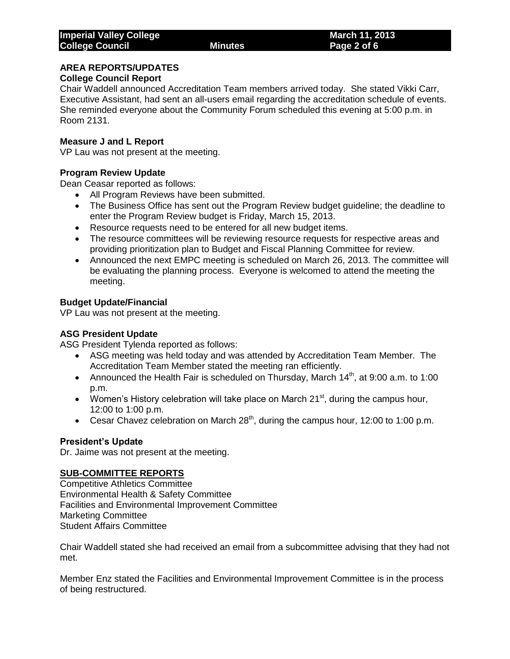# **AREA REPORTS/UPDATES**

### **College Council Report**

Chair Waddell announced Accreditation Team members arrived today. She stated Vikki Carr, Executive Assistant, had sent an all-users email regarding the accreditation schedule of events. She reminded everyone about the Community Forum scheduled this evening at 5:00 p.m. in Room 2131.

#### **Measure J and L Report**

VP Lau was not present at the meeting.

#### **Program Review Update**

Dean Ceasar reported as follows:

- All Program Reviews have been submitted.
- The Business Office has sent out the Program Review budget guideline; the deadline to enter the Program Review budget is Friday, March 15, 2013.
- Resource requests need to be entered for all new budget items.
- The resource committees will be reviewing resource requests for respective areas and providing prioritization plan to Budget and Fiscal Planning Committee for review.
- Announced the next EMPC meeting is scheduled on March 26, 2013. The committee will be evaluating the planning process. Everyone is welcomed to attend the meeting the meeting.

### **Budget Update/Financial**

VP Lau was not present at the meeting.

#### **ASG President Update**

ASG President Tylenda reported as follows:

- ASG meeting was held today and was attended by Accreditation Team Member. The Accreditation Team Member stated the meeting ran efficiently.
- Announced the Health Fair is scheduled on Thursday, March  $14<sup>th</sup>$ , at 9:00 a.m. to 1:00 p.m.
- Women's History celebration will take place on March  $21<sup>st</sup>$ , during the campus hour, 12:00 to 1:00 p.m.
- Cesar Chavez celebration on March  $28<sup>th</sup>$ , during the campus hour, 12:00 to 1:00 p.m.

### **President's Update**

Dr. Jaime was not present at the meeting.

### **SUB-COMMITTEE REPORTS**

Competitive Athletics Committee Environmental Health & Safety Committee Facilities and Environmental Improvement Committee Marketing Committee Student Affairs Committee

Chair Waddell stated she had received an email from a subcommittee advising that they had not met.

Member Enz stated the Facilities and Environmental Improvement Committee is in the process of being restructured.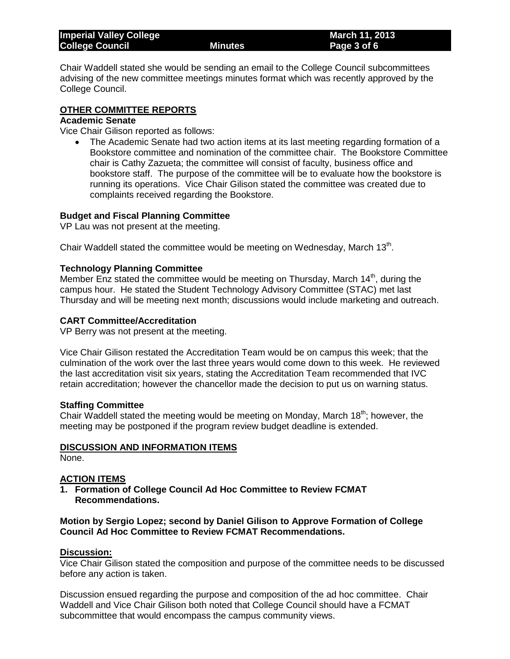| <b>Imperial Valley College</b> |                      | March 11, 2013 |
|--------------------------------|----------------------|----------------|
| <b>College Council</b>         | Minutes <sup>1</sup> | Page 3 of 6    |

Chair Waddell stated she would be sending an email to the College Council subcommittees advising of the new committee meetings minutes format which was recently approved by the College Council.

### **OTHER COMMITTEE REPORTS**

#### **Academic Senate**

Vice Chair Gilison reported as follows:

 The Academic Senate had two action items at its last meeting regarding formation of a Bookstore committee and nomination of the committee chair. The Bookstore Committee chair is Cathy Zazueta; the committee will consist of faculty, business office and bookstore staff. The purpose of the committee will be to evaluate how the bookstore is running its operations. Vice Chair Gilison stated the committee was created due to complaints received regarding the Bookstore.

#### **Budget and Fiscal Planning Committee**

VP Lau was not present at the meeting.

Chair Waddell stated the committee would be meeting on Wednesday, March  $13<sup>th</sup>$ .

#### **Technology Planning Committee**

Member Enz stated the committee would be meeting on Thursday, March  $14<sup>th</sup>$ , during the campus hour. He stated the Student Technology Advisory Committee (STAC) met last Thursday and will be meeting next month; discussions would include marketing and outreach.

#### **CART Committee/Accreditation**

VP Berry was not present at the meeting.

Vice Chair Gilison restated the Accreditation Team would be on campus this week; that the culmination of the work over the last three years would come down to this week. He reviewed the last accreditation visit six years, stating the Accreditation Team recommended that IVC retain accreditation; however the chancellor made the decision to put us on warning status.

#### **Staffing Committee**

Chair Waddell stated the meeting would be meeting on Monday, March 18<sup>th</sup>; however, the meeting may be postponed if the program review budget deadline is extended.

#### **DISCUSSION AND INFORMATION ITEMS**

None.

#### **ACTION ITEMS**

**1. Formation of College Council Ad Hoc Committee to Review FCMAT Recommendations.** 

#### **Motion by Sergio Lopez; second by Daniel Gilison to Approve Formation of College Council Ad Hoc Committee to Review FCMAT Recommendations.**

#### **Discussion:**

Vice Chair Gilison stated the composition and purpose of the committee needs to be discussed before any action is taken.

Discussion ensued regarding the purpose and composition of the ad hoc committee. Chair Waddell and Vice Chair Gilison both noted that College Council should have a FCMAT subcommittee that would encompass the campus community views.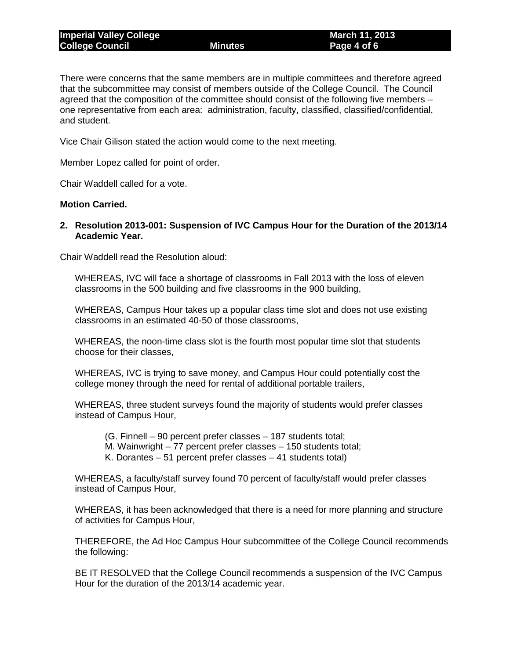There were concerns that the same members are in multiple committees and therefore agreed that the subcommittee may consist of members outside of the College Council. The Council agreed that the composition of the committee should consist of the following five members – one representative from each area: administration, faculty, classified, classified/confidential, and student.

Vice Chair Gilison stated the action would come to the next meeting.

Member Lopez called for point of order.

Chair Waddell called for a vote.

#### **Motion Carried.**

**2. Resolution 2013-001: Suspension of IVC Campus Hour for the Duration of the 2013/14 Academic Year.**

Chair Waddell read the Resolution aloud:

WHEREAS, IVC will face a shortage of classrooms in Fall 2013 with the loss of eleven classrooms in the 500 building and five classrooms in the 900 building,

WHEREAS, Campus Hour takes up a popular class time slot and does not use existing classrooms in an estimated 40-50 of those classrooms,

WHEREAS, the noon-time class slot is the fourth most popular time slot that students choose for their classes,

WHEREAS, IVC is trying to save money, and Campus Hour could potentially cost the college money through the need for rental of additional portable trailers,

WHEREAS, three student surveys found the majority of students would prefer classes instead of Campus Hour,

(G. Finnell – 90 percent prefer classes – 187 students total;

M. Wainwright – 77 percent prefer classes – 150 students total;

K. Dorantes – 51 percent prefer classes – 41 students total)

WHEREAS, a faculty/staff survey found 70 percent of faculty/staff would prefer classes instead of Campus Hour,

WHEREAS, it has been acknowledged that there is a need for more planning and structure of activities for Campus Hour,

THEREFORE, the Ad Hoc Campus Hour subcommittee of the College Council recommends the following:

BE IT RESOLVED that the College Council recommends a suspension of the IVC Campus Hour for the duration of the 2013/14 academic year.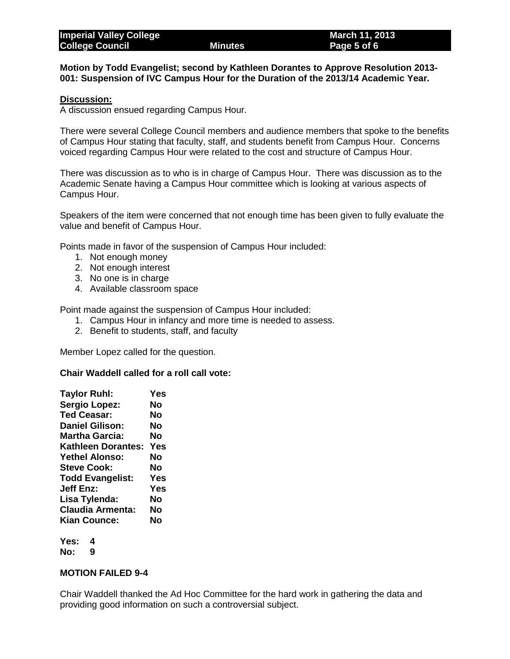**Motion by Todd Evangelist; second by Kathleen Dorantes to Approve Resolution 2013- 001: Suspension of IVC Campus Hour for the Duration of the 2013/14 Academic Year.**

#### **Discussion:**

A discussion ensued regarding Campus Hour.

There were several College Council members and audience members that spoke to the benefits of Campus Hour stating that faculty, staff, and students benefit from Campus Hour. Concerns voiced regarding Campus Hour were related to the cost and structure of Campus Hour.

There was discussion as to who is in charge of Campus Hour. There was discussion as to the Academic Senate having a Campus Hour committee which is looking at various aspects of Campus Hour.

Speakers of the item were concerned that not enough time has been given to fully evaluate the value and benefit of Campus Hour.

Points made in favor of the suspension of Campus Hour included:

- 1. Not enough money
- 2. Not enough interest
- 3. No one is in charge
- 4. Available classroom space

Point made against the suspension of Campus Hour included:

- 1. Campus Hour in infancy and more time is needed to assess.
- 2. Benefit to students, staff, and faculty

Member Lopez called for the question.

#### **Chair Waddell called for a roll call vote:**

| <b>Taylor Ruhl:</b>     | Yes |
|-------------------------|-----|
| <b>Sergio Lopez:</b>    | No  |
| <b>Ted Ceasar:</b>      | No  |
| <b>Daniel Gilison:</b>  | No  |
| Martha Garcia:          | No  |
| Kathleen Dorantes:      | Yes |
| <b>Yethel Alonso:</b>   | No  |
| <b>Steve Cook:</b>      | No  |
| <b>Todd Evangelist:</b> | Yes |
| <b>Jeff Enz:</b>        | Yes |
| Lisa Tylenda:           | No  |
| <b>Claudia Armenta:</b> | No  |
| Kian Counce:            | Nο  |
|                         |     |

**Yes: 4 No: 9**

#### **MOTION FAILED 9-4**

Chair Waddell thanked the Ad Hoc Committee for the hard work in gathering the data and providing good information on such a controversial subject.